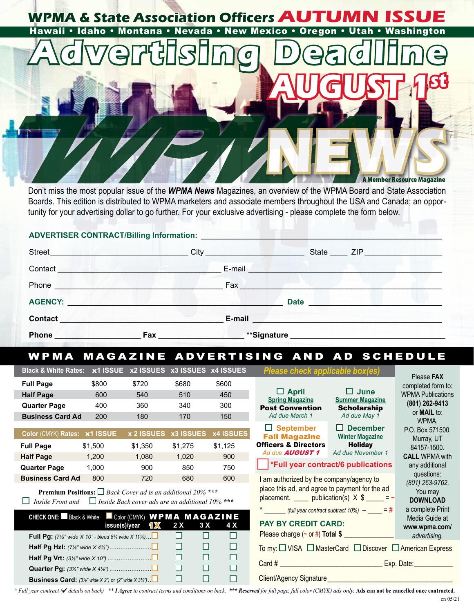

Don't miss the most popular issue of the *WPMA News* Magazines, an overview of the WPMA Board and State Association Boards. This edition is distributed to WPMA marketers and associate members throughout the USA and Canada; an opportunity for your advertising dollar to go further. For your exclusive advertising - please complete the form below.

## **ADVERTISER CONTRACT/Billing Information:**

| <b>Street</b>                                                | the state of the state of the state of | City<br>the control of the control of | State _____ ZIP __________________ |  |
|--------------------------------------------------------------|----------------------------------------|---------------------------------------|------------------------------------|--|
| Contact                                                      |                                        | E-mail                                |                                    |  |
| Phone                                                        |                                        | Fax                                   |                                    |  |
| <b>AGENCY:</b><br><b>Manufacturers</b> and the second states |                                        |                                       | <b>Date</b>                        |  |
| <b>Contact</b>                                               |                                        | E-mail                                |                                    |  |
| <b>Phone</b>                                                 | Fax                                    | **Signature                           |                                    |  |

# WPMA MAGAZINE ADVERTISING AND AD SCHEDULE

| <b>Black &amp; White Rates:</b>                                                                                                                                                                | x1 ISSUE                                               |              | x2 ISSUES x3 ISSUES x4 ISSUES |                                                                                                    | Please check applicable box(es)                                              |                                           |                                                              |
|------------------------------------------------------------------------------------------------------------------------------------------------------------------------------------------------|--------------------------------------------------------|--------------|-------------------------------|----------------------------------------------------------------------------------------------------|------------------------------------------------------------------------------|-------------------------------------------|--------------------------------------------------------------|
| <b>Full Page</b><br><b>Half Page</b>                                                                                                                                                           | \$800<br>600                                           | \$720<br>540 | \$680<br>510                  | \$600<br>450                                                                                       | $\Box$ April<br><b>Spring Magazine</b>                                       | $\Box$ June<br><b>Summer Magazine</b>     | Please FAX<br>completed form to:<br><b>WPMA Publications</b> |
| <b>Quarter Page</b>                                                                                                                                                                            | 400                                                    | 360          | 340                           | 300                                                                                                | <b>Post Convention</b>                                                       | <b>Scholarship</b><br>Ad due May 1        | (801) 262-9413<br>or <b>MAIL</b> to:<br>WPMA.                |
| <b>Business Card Ad</b>                                                                                                                                                                        | 200                                                    | 180          | 170                           | 150                                                                                                | Ad due March 1                                                               |                                           |                                                              |
| Color (CMYK) Rates: x1 ISSUE                                                                                                                                                                   |                                                        | x 2 ISSUES   | <b>x3 ISSUES</b>              | <b>x4 ISSUES</b>                                                                                   | $\Box$ September<br><b>Fall Magazine</b>                                     | $\Box$ December<br><b>Winter Magazine</b> | P.O. Box 571500,<br>Murray, UT                               |
| <b>Full Page</b>                                                                                                                                                                               | \$1,500                                                | \$1,350      | \$1,275                       | \$1,125                                                                                            | <b>Officers &amp; Directors</b>                                              | <b>Holiday</b>                            | 84157-1500.                                                  |
| <b>Half Page</b>                                                                                                                                                                               | 1,200                                                  | 1,080        | 1,020                         | 900                                                                                                | Ad due <b>AUGUST 1</b>                                                       | Ad due November 1                         | <b>CALL WPMA with</b>                                        |
| <b>Quarter Page</b>                                                                                                                                                                            | 1,000                                                  | 900          | 850                           | 750                                                                                                | <b>*Full year contract/6 publications</b>                                    | any additional                            |                                                              |
| <b>Business Card Ad</b>                                                                                                                                                                        | 800                                                    | 720          | 680                           | 600                                                                                                | I am authorized by the company/agency to                                     |                                           | questions:<br>(801) 263-9762.                                |
| <b>Premium Positions:</b> $\Box$ Back Cover ad is an additional 20% ***<br>$\Box$ Inside Front and                                                                                             | $\Box$ Inside Back cover ads are an additional 10% *** |              |                               | place this ad, and agree to payment for the ad<br>placement. _____ publication(s) $X$ \$ _____ = ~ | You may<br><b>DOWNLOAD</b>                                                   |                                           |                                                              |
| $*$ _________ (full year contract subtract 10%) $-$ _____ = #<br>CHECK ONE: Black & White Color (CMYK) WPMA MAGAZINE<br><b>PAY BY CREDIT CARD:</b><br>1 X<br>2X<br>3 X<br>4 X<br>issue(s)/year |                                                        |              |                               |                                                                                                    |                                                                              |                                           | a complete Print<br>Media Guide at<br>www.wpma.com/          |
| <b>Full Pg:</b> (7½" wide $X$ 10" - bleed 8% wide $X$ 11%).                                                                                                                                    |                                                        |              | □<br>□                        | п                                                                                                  |                                                                              |                                           | advertising.                                                 |
| □<br>□<br>□                                                                                                                                                                                    |                                                        |              |                               |                                                                                                    | To my: $\Box$ VISA $\Box$ MasterCard $\Box$ Discover $\Box$ American Express |                                           |                                                              |
| □<br>□<br>□                                                                                                                                                                                    |                                                        |              |                               |                                                                                                    | _ Exp. Date: ____________                                                    |                                           |                                                              |
|                                                                                                                                                                                                |                                                        |              | □<br>□                        | □                                                                                                  |                                                                              |                                           |                                                              |
| □<br>□<br>П<br><b>Business Card:</b> $(3\frac{1}{2}\sqrt{m})$ and $(2\sqrt{m})$ or $(2\sqrt{m})$ and $(2\sqrt{m})$ .                                                                           |                                                        |              |                               |                                                                                                    | Client/Agency Signature                                                      |                                           |                                                              |

\* Full year contract (*I* details on back) \*\* I Agree to contract terms and conditions on back. \*\*\* Reserved for full page, full color (CMYK) ads only. Ads can not be cancelled once contracted.